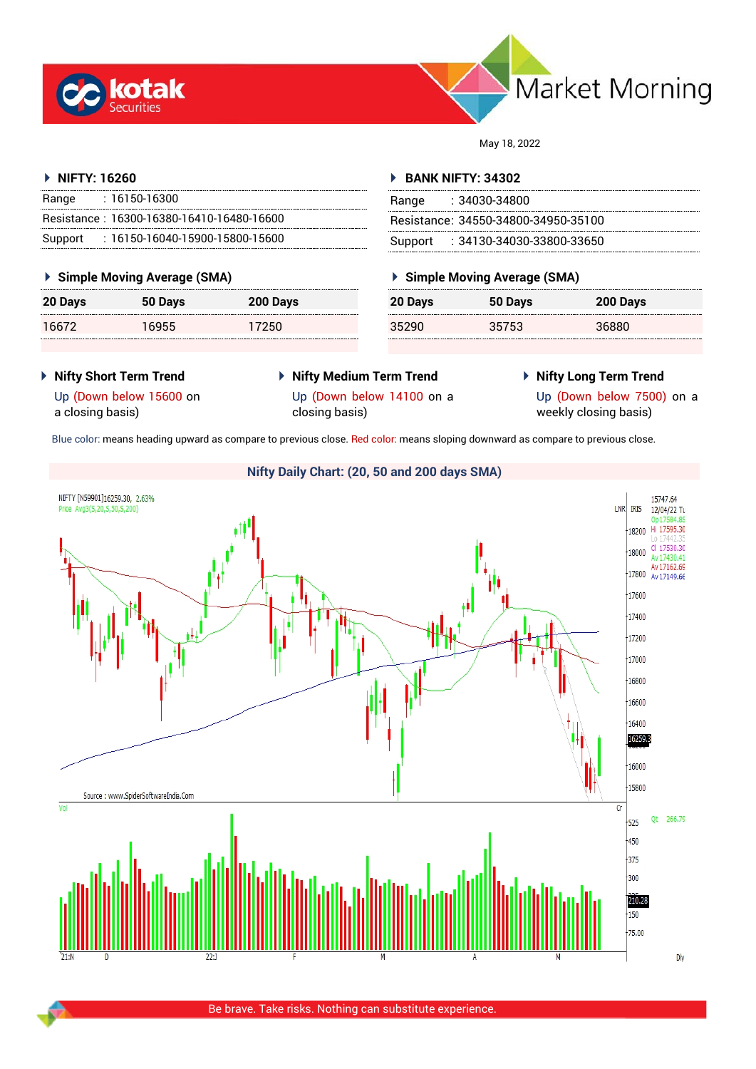



May 18, 2022

# **NIFTY: 16260**

| Range | $: 16150 - 16300$                         |
|-------|-------------------------------------------|
|       | Resistance: 16300-16380-16410-16480-16600 |
|       | Support: 16150-16040-15900-15800-15600    |

## **Simple Moving Average (SMA)**

| 20 Days | 50 Days | 200 Days |
|---------|---------|----------|
| 16672   | 16955   | 17250    |

## **BANK NIFTY: 34302**

| Range | : 34030-34800                       |
|-------|-------------------------------------|
|       | Resistance: 34550-34800-34950-35100 |
|       | Support: : 34130-34030-33800-33650  |

## **Simple Moving Average (SMA)**

| 20 Days | 50 Days | 200 Days |
|---------|---------|----------|
| 35290   | 35753   | 36880    |

- **Nifty Short Term Trend**
- **Nifty Medium Term Trend** closing basis)
- **Nifty Long Term Trend**

Up (Down below 15600 on a closing basis)

- Up (Down below 14100 on a
- 

Up (Down below 7500) on a weekly closing basis)

Blue color: means heading upward as compare to previous close. Red color: means sloping downward as compare to previous close.



Be brave. Take risks. Nothing can substitute experience.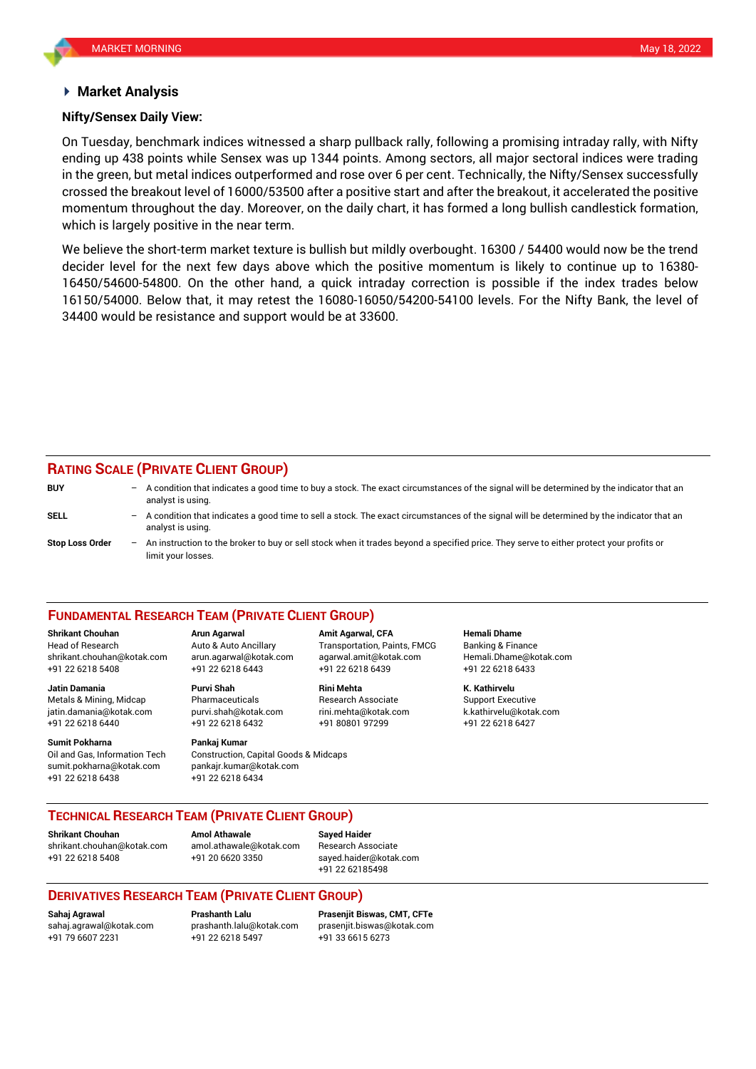## **Market Analysis**

## **Nifty/Sensex Daily View:**

On Tuesday, benchmark indices witnessed a sharp pullback rally, following a promising intraday rally, with Nifty ending up 438 points while Sensex was up 1344 points. Among sectors, all major sectoral indices were trading in the green, but metal indices outperformed and rose over 6 per cent. Technically, the Nifty/Sensex successfully crossed the breakout level of 16000/53500 after a positive start and after the breakout, it accelerated the positive momentum throughout the day. Moreover, on the daily chart, it has formed a long bullish candlestick formation, which is largely positive in the near term.

We believe the short-term market texture is bullish but mildly overbought. 16300 / 54400 would now be the trend decider level for the next few days above which the positive momentum is likely to continue up to 16380- 16450/54600-54800. On the other hand, a quick intraday correction is possible if the index trades below 16150/54000. Below that, it may retest the 16080-16050/54200-54100 levels. For the Nifty Bank, the level of 34400 would be resistance and support would be at 33600.

# **RATING SCALE (PRIVATE CLIENT GROUP)**

| <b>BUY</b>             | $-$ A condition that indicates a good time to buy a stock. The exact circumstances of the signal will be determined by the indicator that an<br>analyst is using. |
|------------------------|-------------------------------------------------------------------------------------------------------------------------------------------------------------------|
| SELL                   | - A condition that indicates a good time to sell a stock. The exact circumstances of the signal will be determined by the indicator that an<br>analyst is using.  |
| <b>Stop Loss Order</b> | - An instruction to the broker to buy or sell stock when it trades beyond a specified price. They serve to either protect your profits or<br>limit your losses.   |

### **FUNDAMENTAL RESEARCH TEAM (PRIVATE CLIENT GROUP)**

Head of Research Auto & Auto Ancillary Transportation, Paints, FMCG Banking & Finance [shrikant.chouhan@kotak.com](mailto:shrikant.chouhan@kotak.com) arun.agarwal@kotak.com agarwal.amit@kotak.com Hemali.Dhame@kotak.com

**Jatin Damania Purvi Shah Rini Mehta K. Kathirvelu** Metals & Mining, Midcap Pharmaceuticals Research Associate Support Executive jatin.damania@kotak.com [purvi.shah@kotak.com](mailto:purvi.shah@kotak.com) rini.mehta@kotak.com [k.kathirvelu@kotak.com](mailto:k.kathirvelu@kotak.com) +91 22 6218 6440 +91 22 6218 6432 +91 80801 97299 +91 22 6218 6427

**Sumit Pokharna** Pankaj Kumar

Oil and Gas, Information Tech Construction, Capital Goods & Midcaps sumit.pokharna@kotak.com pankajr.kumar@kotak.com +91 22 6218 6438 +91 22 6218 6434

+91 22 6218 5408 +91 22 6218 6443 +91 22 6218 6439 +91 22 6218 6433

**Shrikant Chouhan Arun Agarwal Amit Agarwal, CFA Hemali Dhame**

## **TECHNICAL RESEARCH TEAM (PRIVATE CLIENT GROUP)**

**Shrikant Chouhan Amol Athawale Sayed Haider**

[shrikant.chouhan@kotak.com](mailto:shrikant.chouhan@kotak.com) [amol.athawale@kotak.com](mailto:amol.athawale@kotak.com) Research Associate +91 22 6218 5408 +91 20 6620 3350 [sayed.haider@kotak.com](mailto:sayed.haider@kotak.com)

+91 22 62185498

## **DERIVATIVES RESEARCH TEAM (PRIVATE CLIENT GROUP)**

+91 22 6218 5497 +91 33 6615 6273

**Sahaj Agrawal Prashanth Lalu Prasenjit Biswas, CMT, CFTe** [sahaj.agrawal@kotak.com](mailto:sahaj.agrawal@kotak.com) [prashanth.lalu@kotak.com](mailto:prashanth.lalu@kotak.com) [prasenjit.biswas@kotak.com](mailto:prasenjit.biswas@kotak.com)